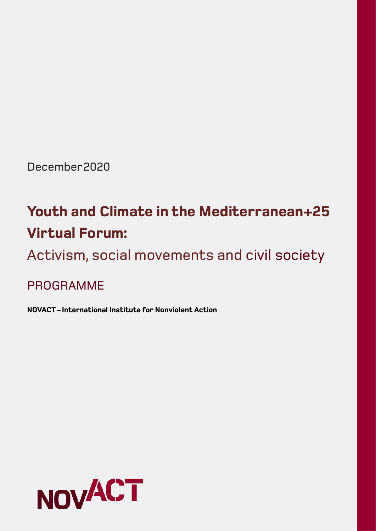December2020

## **Youth and Climate in the Mediterranean+25 Virtual Forum:**

Activism, social movements and civil society

PROGRAMME

**NOVACT – International Institute for Nonviolent Action** 

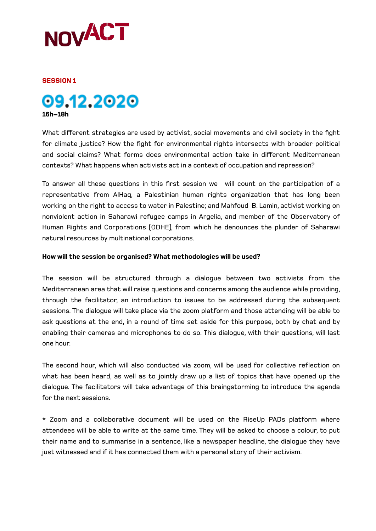

### **SESSION 1**



What different strategies are used by activist, social movements and civil society in the fight for climate justice? How the fight for environmental rights intersects with broader political and social claims? What forms does environmental action take in different Mediterranean contexts? What happens when activists act in a context of occupation and repression?

To answer all these questions in this first session we will count on the participation of a representative from AlHaq, a Palestinian human rights organization that has long been working on the right to access to water in Palestine; and Mahfoud B. Lamin, activist working on nonviolent action in Saharawi refugee camps in Argelia, and member of the Observatory of Human Rights and Corporations (ODHE), from which he denounces the plunder of Saharawi natural resources by multinational corporations.

#### **How will the session be organised? What methodologies will be used?**

The session will be structured through a dialogue between two activists from the Mediterranean area that will raise questions and concerns among the audience while providing, through the facilitator, an introduction to issues to be addressed during the subsequent sessions. The dialogue will take place via the zoom platform and those attending will be able to ask questions at the end, in a round of time set aside for this purpose, both by chat and by enabling their cameras and microphones to do so. This dialogue, with their questions, will last one hour.

The second hour, which will also conducted via zoom, will be used for collective reflection on what has been heard, as well as to jointly draw up a list of topics that have opened up the dialogue. The facilitators will take advantage of this braingstorming to introduce the agenda for the next sessions.

\* Zoom and a collaborative document will be used on the RiseUp PADs platform where attendees will be able to write at the same time. They will be asked to choose a colour, to put their name and to summarise in a sentence, like a newspaper headline, the dialogue they have just witnessed and if it has connected them with a personal story of their activism.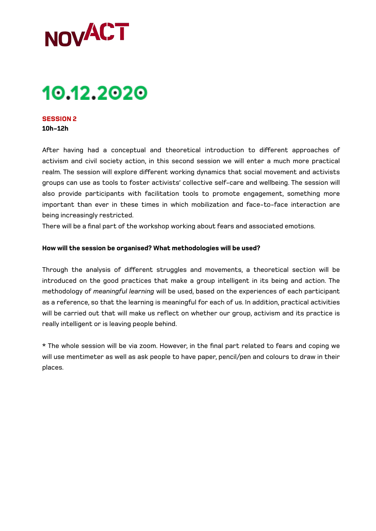

# 10.12.2020

**SESSION 2 10h-12h** 

Afer having had a conceptual and theoretical introduction to different approaches of activism and civil society action, in this second session we will enter a much more practical realm. The session will explore different working dynamics that social movement and activists groups can use as tools to foster activists' collective self-care and wellbeing. The session will also provide participants with facilitation tools to promote engagement, something more important than ever in these times in which mobilization and face-to-face interaction are being increasingly restricted.

There will be a final part of the workshop working about fears and associated emotions.

## **How will the session be organised? What methodologies will be used?**

Through the analysis of different struggles and movements, a theoretical section will be introduced on the good practices that make a group intelligent in its being and action. The methodology of *meaningful learning* will be used, based on the experiences of each participant as a reference, so that the learning is meaningful for each of us. In addition, practical activities will be carried out that will make us reflect on whether our group, activism and its practice is really intelligent or is leaving people behind.

\* The whole session will be via zoom. However, in the final part related to fears and coping we will use mentimeter as well as ask people to have paper, pencil/pen and colours to draw in their places.